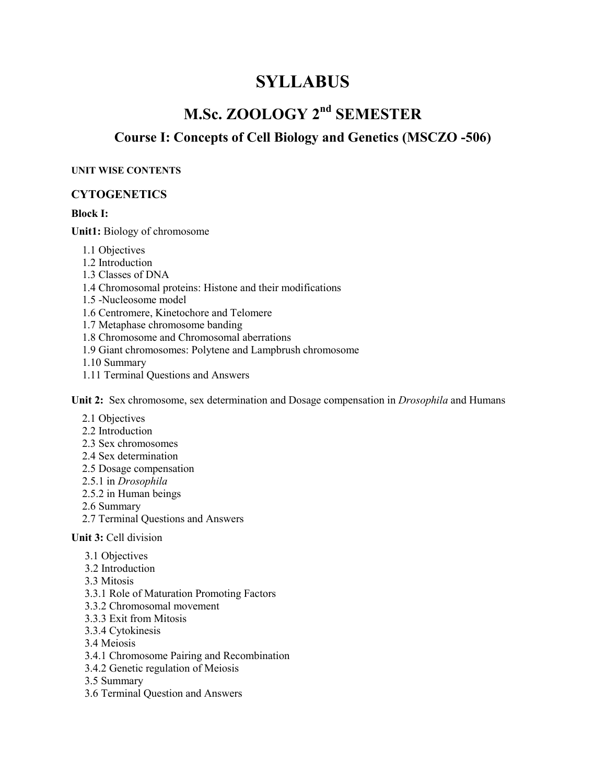# **SYLLABUS**

# **M.Sc. ZOOLOGY 2nd SEMESTER**

## **Course I: Concepts of Cell Biology and Genetics (MSCZO -506)**

#### **UNIT WISE CONTENTS**

#### **CYTOGENETICS**

#### **Block I:**

**Unit1:** Biology of chromosome

- 1.1 Objectives
- 1.2 Introduction
- 1.3 Classes of DNA
- 1.4 Chromosomal proteins: Histone and their modifications
- 1.5 -Nucleosome model

1.6 Centromere, Kinetochore and Telomere

- 1.7 Metaphase chromosome banding
- 1.8 Chromosome and Chromosomal aberrations
- 1.9 Giant chromosomes: Polytene and Lampbrush chromosome
- 1.10 Summary
- 1.11 Terminal Questions and Answers

**Unit 2:** Sex chromosome, sex determination and Dosage compensation in *Drosophila* and Humans

- 2.1 Objectives
- 2.2 Introduction
- 2.3 Sex chromosomes
- 2.4 Sex determination
- 2.5 Dosage compensation
- 2.5.1 in *Drosophila*
- 2.5.2 in Human beings
- 2.6 Summary
- 2.7 Terminal Questions and Answers

#### **Unit 3:** Cell division

- 3.1 Objectives
- 3.2 Introduction
- 3.3 Mitosis
- 3.3.1 Role of Maturation Promoting Factors
- 3.3.2 Chromosomal movement
- 3.3.3 Exit from Mitosis
- 3.3.4 Cytokinesis
- 3.4 Meiosis
- 3.4.1 Chromosome Pairing and Recombination
- 3.4.2 Genetic regulation of Meiosis
- 3.5 Summary
- 3.6 Terminal Question and Answers